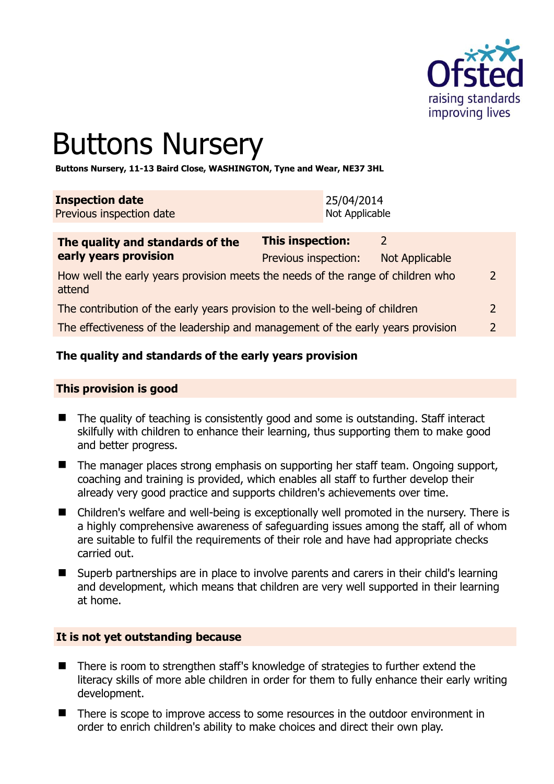

# Buttons Nursery

**Buttons Nursery, 11-13 Baird Close, WASHINGTON, Tyne and Wear, NE37 3HL** 

| <b>Inspection date</b>   | 25/04/2014     |
|--------------------------|----------------|
| Previous inspection date | Not Applicable |

| The quality and standards of the<br>early years provision                                 | This inspection:     |                |               |
|-------------------------------------------------------------------------------------------|----------------------|----------------|---------------|
|                                                                                           | Previous inspection: | Not Applicable |               |
| How well the early years provision meets the needs of the range of children who<br>attend |                      |                | $\mathcal{P}$ |
| The contribution of the early years provision to the well-being of children               |                      |                | $\mathcal{P}$ |
| The effectiveness of the leadership and management of the early years provision           |                      |                |               |
|                                                                                           |                      |                |               |

# **The quality and standards of the early years provision**

#### **This provision is good**

- The quality of teaching is consistently good and some is outstanding. Staff interact skilfully with children to enhance their learning, thus supporting them to make good and better progress.
- The manager places strong emphasis on supporting her staff team. Ongoing support, coaching and training is provided, which enables all staff to further develop their already very good practice and supports children's achievements over time.
- Children's welfare and well-being is exceptionally well promoted in the nursery. There is a highly comprehensive awareness of safeguarding issues among the staff, all of whom are suitable to fulfil the requirements of their role and have had appropriate checks carried out.
- Superb partnerships are in place to involve parents and carers in their child's learning and development, which means that children are very well supported in their learning at home.

#### **It is not yet outstanding because**

- There is room to strengthen staff's knowledge of strategies to further extend the literacy skills of more able children in order for them to fully enhance their early writing development.
- There is scope to improve access to some resources in the outdoor environment in order to enrich children's ability to make choices and direct their own play.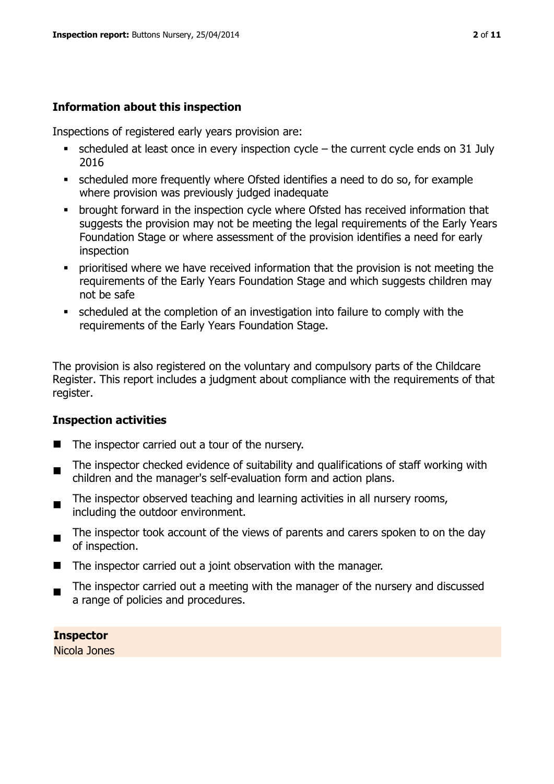#### **Information about this inspection**

Inspections of registered early years provision are:

- $\bullet$  scheduled at least once in every inspection cycle the current cycle ends on 31 July 2016
- scheduled more frequently where Ofsted identifies a need to do so, for example where provision was previously judged inadequate
- **•** brought forward in the inspection cycle where Ofsted has received information that suggests the provision may not be meeting the legal requirements of the Early Years Foundation Stage or where assessment of the provision identifies a need for early inspection
- **•** prioritised where we have received information that the provision is not meeting the requirements of the Early Years Foundation Stage and which suggests children may not be safe
- scheduled at the completion of an investigation into failure to comply with the requirements of the Early Years Foundation Stage.

The provision is also registered on the voluntary and compulsory parts of the Childcare Register. This report includes a judgment about compliance with the requirements of that register.

#### **Inspection activities**

- $\blacksquare$  The inspector carried out a tour of the nursery.
- $\blacksquare$ The inspector checked evidence of suitability and qualifications of staff working with children and the manager's self-evaluation form and action plans.
- $\blacksquare$ The inspector observed teaching and learning activities in all nursery rooms, including the outdoor environment.
- $\blacksquare$ The inspector took account of the views of parents and carers spoken to on the day of inspection.
- The inspector carried out a joint observation with the manager.
- The inspector carried out a meeting with the manager of the nursery and discussed a range of policies and procedures.

**Inspector**  Nicola Jones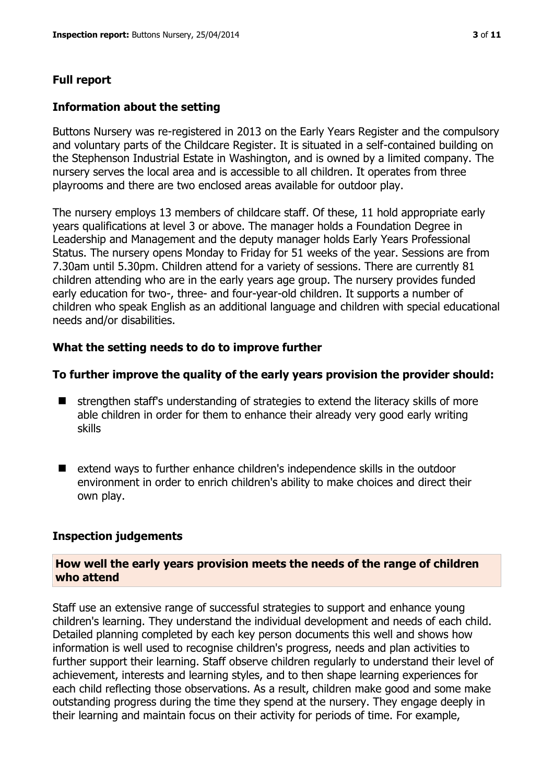#### **Information about the setting**

Buttons Nursery was re-registered in 2013 on the Early Years Register and the compulsory and voluntary parts of the Childcare Register. It is situated in a self-contained building on the Stephenson Industrial Estate in Washington, and is owned by a limited company. The nursery serves the local area and is accessible to all children. It operates from three playrooms and there are two enclosed areas available for outdoor play.

The nursery employs 13 members of childcare staff. Of these, 11 hold appropriate early years qualifications at level 3 or above. The manager holds a Foundation Degree in Leadership and Management and the deputy manager holds Early Years Professional Status. The nursery opens Monday to Friday for 51 weeks of the year. Sessions are from 7.30am until 5.30pm. Children attend for a variety of sessions. There are currently 81 children attending who are in the early years age group. The nursery provides funded early education for two-, three- and four-year-old children. It supports a number of children who speak English as an additional language and children with special educational needs and/or disabilities.

## **What the setting needs to do to improve further**

## **To further improve the quality of the early years provision the provider should:**

- $\blacksquare$  strengthen staff's understanding of strategies to extend the literacy skills of more able children in order for them to enhance their already very good early writing skills
- $\blacksquare$  extend ways to further enhance children's independence skills in the outdoor environment in order to enrich children's ability to make choices and direct their own play.

#### **Inspection judgements**

#### **How well the early years provision meets the needs of the range of children who attend**

Staff use an extensive range of successful strategies to support and enhance young children's learning. They understand the individual development and needs of each child. Detailed planning completed by each key person documents this well and shows how information is well used to recognise children's progress, needs and plan activities to further support their learning. Staff observe children regularly to understand their level of achievement, interests and learning styles, and to then shape learning experiences for each child reflecting those observations. As a result, children make good and some make outstanding progress during the time they spend at the nursery. They engage deeply in their learning and maintain focus on their activity for periods of time. For example,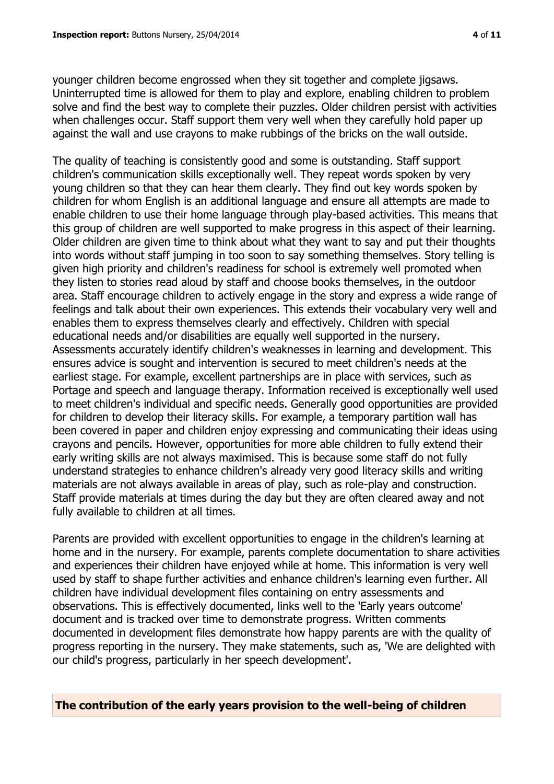younger children become engrossed when they sit together and complete jigsaws. Uninterrupted time is allowed for them to play and explore, enabling children to problem solve and find the best way to complete their puzzles. Older children persist with activities when challenges occur. Staff support them very well when they carefully hold paper up against the wall and use crayons to make rubbings of the bricks on the wall outside.

The quality of teaching is consistently good and some is outstanding. Staff support children's communication skills exceptionally well. They repeat words spoken by very young children so that they can hear them clearly. They find out key words spoken by children for whom English is an additional language and ensure all attempts are made to enable children to use their home language through play-based activities. This means that this group of children are well supported to make progress in this aspect of their learning. Older children are given time to think about what they want to say and put their thoughts into words without staff jumping in too soon to say something themselves. Story telling is given high priority and children's readiness for school is extremely well promoted when they listen to stories read aloud by staff and choose books themselves, in the outdoor area. Staff encourage children to actively engage in the story and express a wide range of feelings and talk about their own experiences. This extends their vocabulary very well and enables them to express themselves clearly and effectively. Children with special educational needs and/or disabilities are equally well supported in the nursery. Assessments accurately identify children's weaknesses in learning and development. This ensures advice is sought and intervention is secured to meet children's needs at the earliest stage. For example, excellent partnerships are in place with services, such as Portage and speech and language therapy. Information received is exceptionally well used to meet children's individual and specific needs. Generally good opportunities are provided for children to develop their literacy skills. For example, a temporary partition wall has been covered in paper and children enjoy expressing and communicating their ideas using crayons and pencils. However, opportunities for more able children to fully extend their early writing skills are not always maximised. This is because some staff do not fully understand strategies to enhance children's already very good literacy skills and writing materials are not always available in areas of play, such as role-play and construction. Staff provide materials at times during the day but they are often cleared away and not fully available to children at all times.

Parents are provided with excellent opportunities to engage in the children's learning at home and in the nursery. For example, parents complete documentation to share activities and experiences their children have enjoyed while at home. This information is very well used by staff to shape further activities and enhance children's learning even further. All children have individual development files containing on entry assessments and observations. This is effectively documented, links well to the 'Early years outcome' document and is tracked over time to demonstrate progress. Written comments documented in development files demonstrate how happy parents are with the quality of progress reporting in the nursery. They make statements, such as, 'We are delighted with our child's progress, particularly in her speech development'.

**The contribution of the early years provision to the well-being of children**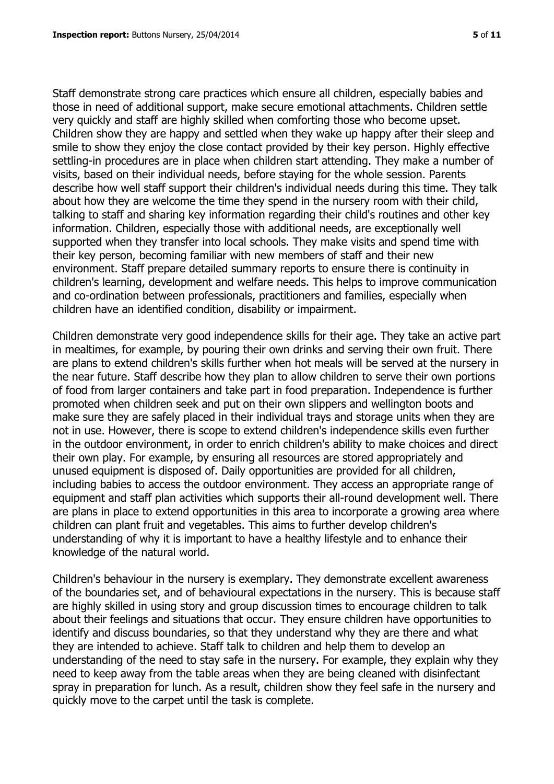Staff demonstrate strong care practices which ensure all children, especially babies and those in need of additional support, make secure emotional attachments. Children settle very quickly and staff are highly skilled when comforting those who become upset. Children show they are happy and settled when they wake up happy after their sleep and smile to show they enjoy the close contact provided by their key person. Highly effective settling-in procedures are in place when children start attending. They make a number of visits, based on their individual needs, before staying for the whole session. Parents describe how well staff support their children's individual needs during this time. They talk about how they are welcome the time they spend in the nursery room with their child, talking to staff and sharing key information regarding their child's routines and other key information. Children, especially those with additional needs, are exceptionally well supported when they transfer into local schools. They make visits and spend time with their key person, becoming familiar with new members of staff and their new environment. Staff prepare detailed summary reports to ensure there is continuity in children's learning, development and welfare needs. This helps to improve communication and co-ordination between professionals, practitioners and families, especially when children have an identified condition, disability or impairment.

Children demonstrate very good independence skills for their age. They take an active part in mealtimes, for example, by pouring their own drinks and serving their own fruit. There are plans to extend children's skills further when hot meals will be served at the nursery in the near future. Staff describe how they plan to allow children to serve their own portions of food from larger containers and take part in food preparation. Independence is further promoted when children seek and put on their own slippers and wellington boots and make sure they are safely placed in their individual trays and storage units when they are not in use. However, there is scope to extend children's independence skills even further in the outdoor environment, in order to enrich children's ability to make choices and direct their own play. For example, by ensuring all resources are stored appropriately and unused equipment is disposed of. Daily opportunities are provided for all children, including babies to access the outdoor environment. They access an appropriate range of equipment and staff plan activities which supports their all-round development well. There are plans in place to extend opportunities in this area to incorporate a growing area where children can plant fruit and vegetables. This aims to further develop children's understanding of why it is important to have a healthy lifestyle and to enhance their knowledge of the natural world.

Children's behaviour in the nursery is exemplary. They demonstrate excellent awareness of the boundaries set, and of behavioural expectations in the nursery. This is because staff are highly skilled in using story and group discussion times to encourage children to talk about their feelings and situations that occur. They ensure children have opportunities to identify and discuss boundaries, so that they understand why they are there and what they are intended to achieve. Staff talk to children and help them to develop an understanding of the need to stay safe in the nursery. For example, they explain why they need to keep away from the table areas when they are being cleaned with disinfectant spray in preparation for lunch. As a result, children show they feel safe in the nursery and quickly move to the carpet until the task is complete.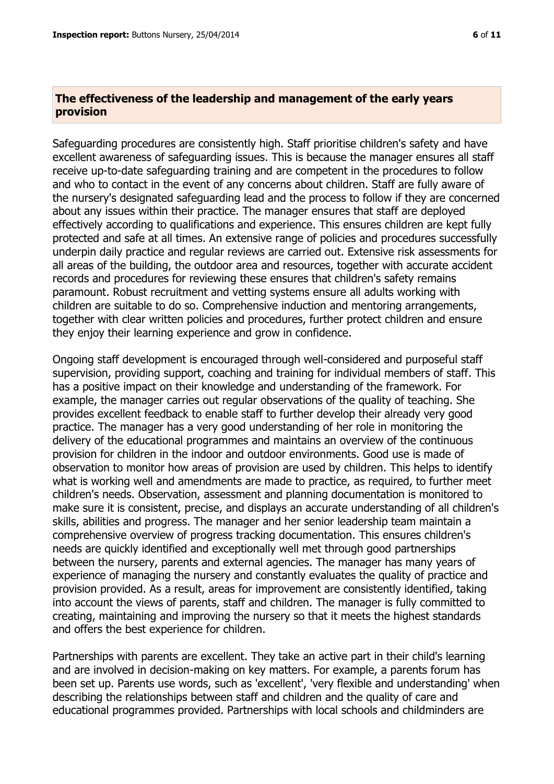#### **The effectiveness of the leadership and management of the early years provision**

Safeguarding procedures are consistently high. Staff prioritise children's safety and have excellent awareness of safeguarding issues. This is because the manager ensures all staff receive up-to-date safeguarding training and are competent in the procedures to follow and who to contact in the event of any concerns about children. Staff are fully aware of the nursery's designated safeguarding lead and the process to follow if they are concerned about any issues within their practice. The manager ensures that staff are deployed effectively according to qualifications and experience. This ensures children are kept fully protected and safe at all times. An extensive range of policies and procedures successfully underpin daily practice and regular reviews are carried out. Extensive risk assessments for all areas of the building, the outdoor area and resources, together with accurate accident records and procedures for reviewing these ensures that children's safety remains paramount. Robust recruitment and vetting systems ensure all adults working with children are suitable to do so. Comprehensive induction and mentoring arrangements, together with clear written policies and procedures, further protect children and ensure they enjoy their learning experience and grow in confidence.

Ongoing staff development is encouraged through well-considered and purposeful staff supervision, providing support, coaching and training for individual members of staff. This has a positive impact on their knowledge and understanding of the framework. For example, the manager carries out regular observations of the quality of teaching. She provides excellent feedback to enable staff to further develop their already very good practice. The manager has a very good understanding of her role in monitoring the delivery of the educational programmes and maintains an overview of the continuous provision for children in the indoor and outdoor environments. Good use is made of observation to monitor how areas of provision are used by children. This helps to identify what is working well and amendments are made to practice, as required, to further meet children's needs. Observation, assessment and planning documentation is monitored to make sure it is consistent, precise, and displays an accurate understanding of all children's skills, abilities and progress. The manager and her senior leadership team maintain a comprehensive overview of progress tracking documentation. This ensures children's needs are quickly identified and exceptionally well met through good partnerships between the nursery, parents and external agencies. The manager has many years of experience of managing the nursery and constantly evaluates the quality of practice and provision provided. As a result, areas for improvement are consistently identified, taking into account the views of parents, staff and children. The manager is fully committed to creating, maintaining and improving the nursery so that it meets the highest standards and offers the best experience for children.

Partnerships with parents are excellent. They take an active part in their child's learning and are involved in decision-making on key matters. For example, a parents forum has been set up. Parents use words, such as 'excellent', 'very flexible and understanding' when describing the relationships between staff and children and the quality of care and educational programmes provided. Partnerships with local schools and childminders are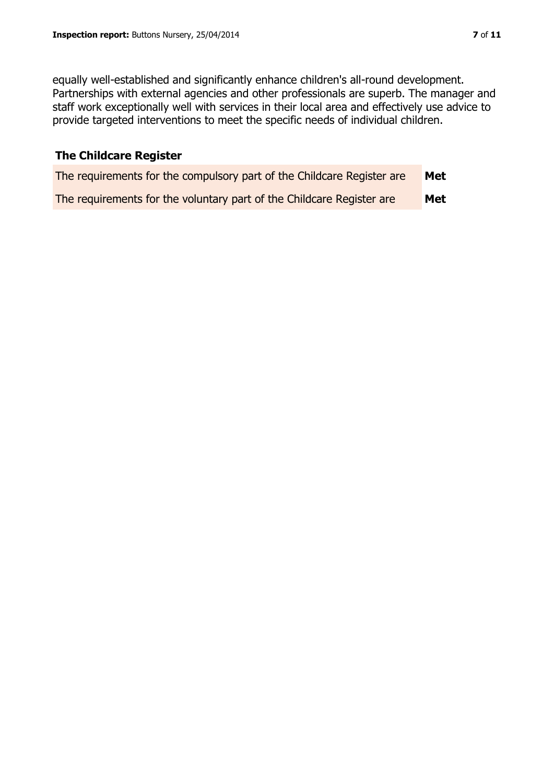equally well-established and significantly enhance children's all-round development. Partnerships with external agencies and other professionals are superb. The manager and staff work exceptionally well with services in their local area and effectively use advice to provide targeted interventions to meet the specific needs of individual children.

# **The Childcare Register**

| The requirements for the compulsory part of the Childcare Register are | Met |
|------------------------------------------------------------------------|-----|
| The requirements for the voluntary part of the Childcare Register are  | Met |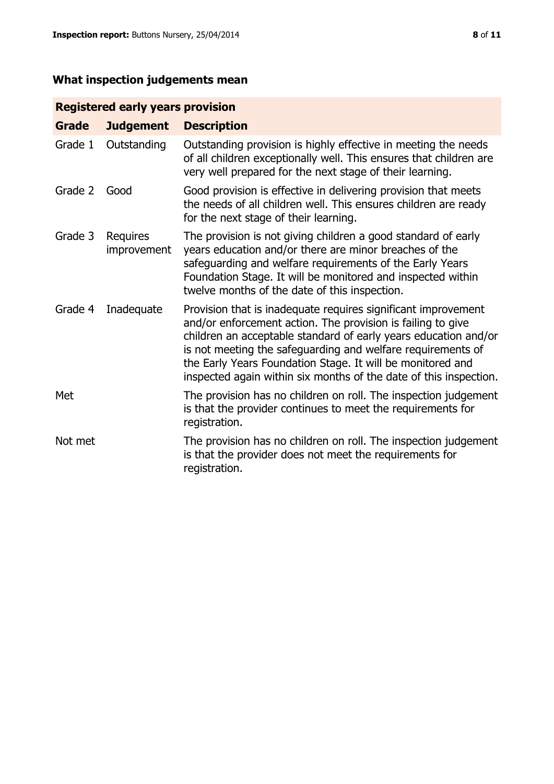# **What inspection judgements mean**

# **Registered early years provision**

| <b>Grade</b> | <b>Judgement</b>        | <b>Description</b>                                                                                                                                                                                                                                                                                                                                                                                |
|--------------|-------------------------|---------------------------------------------------------------------------------------------------------------------------------------------------------------------------------------------------------------------------------------------------------------------------------------------------------------------------------------------------------------------------------------------------|
| Grade 1      | Outstanding             | Outstanding provision is highly effective in meeting the needs<br>of all children exceptionally well. This ensures that children are<br>very well prepared for the next stage of their learning.                                                                                                                                                                                                  |
| Grade 2      | Good                    | Good provision is effective in delivering provision that meets<br>the needs of all children well. This ensures children are ready<br>for the next stage of their learning.                                                                                                                                                                                                                        |
| Grade 3      | Requires<br>improvement | The provision is not giving children a good standard of early<br>years education and/or there are minor breaches of the<br>safeguarding and welfare requirements of the Early Years<br>Foundation Stage. It will be monitored and inspected within<br>twelve months of the date of this inspection.                                                                                               |
| Grade 4      | Inadequate              | Provision that is inadequate requires significant improvement<br>and/or enforcement action. The provision is failing to give<br>children an acceptable standard of early years education and/or<br>is not meeting the safeguarding and welfare requirements of<br>the Early Years Foundation Stage. It will be monitored and<br>inspected again within six months of the date of this inspection. |
| Met          |                         | The provision has no children on roll. The inspection judgement<br>is that the provider continues to meet the requirements for<br>registration.                                                                                                                                                                                                                                                   |
| Not met      |                         | The provision has no children on roll. The inspection judgement<br>is that the provider does not meet the requirements for<br>registration.                                                                                                                                                                                                                                                       |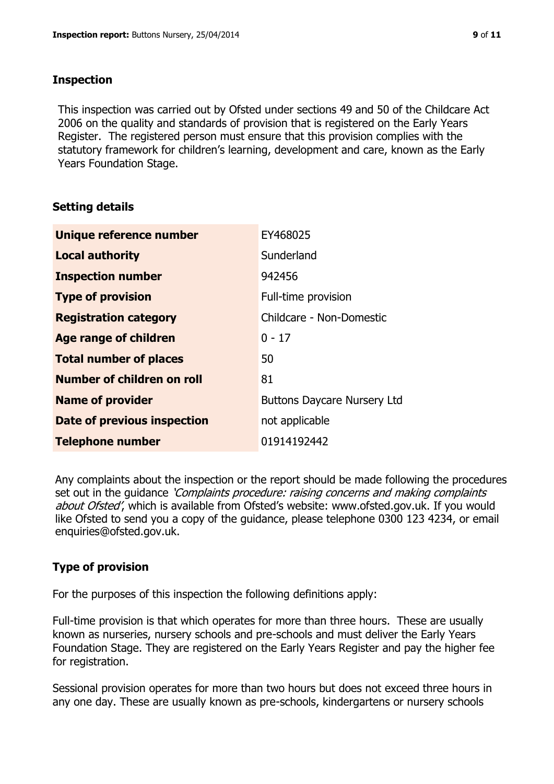# **Inspection**

This inspection was carried out by Ofsted under sections 49 and 50 of the Childcare Act 2006 on the quality and standards of provision that is registered on the Early Years Register. The registered person must ensure that this provision complies with the statutory framework for children's learning, development and care, known as the Early Years Foundation Stage.

# **Setting details**

| Unique reference number       | EY468025                           |
|-------------------------------|------------------------------------|
| <b>Local authority</b>        | Sunderland                         |
| <b>Inspection number</b>      | 942456                             |
| <b>Type of provision</b>      | Full-time provision                |
| <b>Registration category</b>  | Childcare - Non-Domestic           |
| Age range of children         | $0 - 17$                           |
| <b>Total number of places</b> | 50                                 |
| Number of children on roll    | 81                                 |
| <b>Name of provider</b>       | <b>Buttons Daycare Nursery Ltd</b> |
| Date of previous inspection   | not applicable                     |
| <b>Telephone number</b>       | 01914192442                        |

Any complaints about the inspection or the report should be made following the procedures set out in the guidance *'Complaints procedure: raising concerns and making complaints* about Ofsted', which is available from Ofsted's website: www.ofsted.gov.uk. If you would like Ofsted to send you a copy of the guidance, please telephone 0300 123 4234, or email enquiries@ofsted.gov.uk.

# **Type of provision**

For the purposes of this inspection the following definitions apply:

Full-time provision is that which operates for more than three hours. These are usually known as nurseries, nursery schools and pre-schools and must deliver the Early Years Foundation Stage. They are registered on the Early Years Register and pay the higher fee for registration.

Sessional provision operates for more than two hours but does not exceed three hours in any one day. These are usually known as pre-schools, kindergartens or nursery schools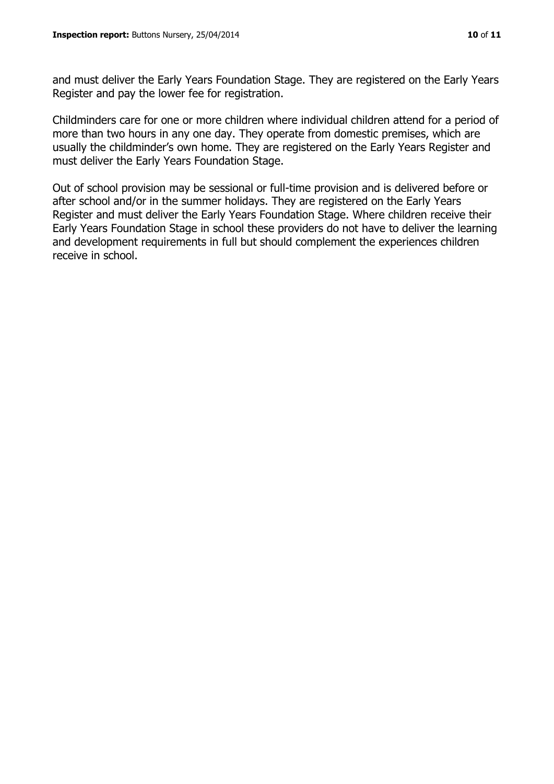and must deliver the Early Years Foundation Stage. They are registered on the Early Years Register and pay the lower fee for registration.

Childminders care for one or more children where individual children attend for a period of more than two hours in any one day. They operate from domestic premises, which are usually the childminder's own home. They are registered on the Early Years Register and must deliver the Early Years Foundation Stage.

Out of school provision may be sessional or full-time provision and is delivered before or after school and/or in the summer holidays. They are registered on the Early Years Register and must deliver the Early Years Foundation Stage. Where children receive their Early Years Foundation Stage in school these providers do not have to deliver the learning and development requirements in full but should complement the experiences children receive in school.